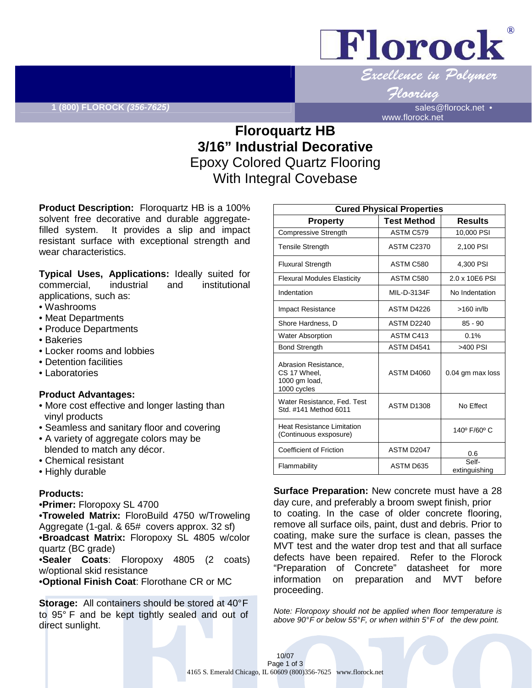

### Flooring

www.florock.net

# **Floroquartz HB 3/16" Industrial Decorative**  Epoxy Colored Quartz Flooring With Integral Covebase

**Product Description:** Floroquartz HB is a 100% solvent free decorative and durable aggregatefilled system. It provides a slip and impact resistant surface with exceptional strength and wear characteristics.

**Typical Uses, Applications:** Ideally suited for commercial, industrial and institutional applications, such as:

- Washrooms
- Meat Departments
- Produce Departments
- Bakeries
- Locker rooms and lobbies
- Detention facilities
- Laboratories

#### **Product Advantages:**

- More cost effective and longer lasting than vinyl products
- Seamless and sanitary floor and covering
- A variety of aggregate colors may be blended to match any décor.
- Chemical resistant
- Highly durable

#### **Products:**

•**Primer:** Floropoxy SL 4700

•**Troweled Matrix:** FloroBuild 4750 w/Troweling Aggregate (1-gal. & 65# covers approx. 32 sf) •**Broadcast Matrix:** Floropoxy SL 4805 w/color quartz (BC grade)

•**Sealer Coats**: Floropoxy 4805 (2 coats) w/optional skid resistance

•**Optional Finish Coat**: Florothane CR or MC

**Storage:** All containers should be stored at 40° F to 95° F and be kept tightly sealed and out of direct sunlight.

| <b>Cured Physical Properties</b>                                     |                    |                        |
|----------------------------------------------------------------------|--------------------|------------------------|
| <b>Property</b>                                                      | <b>Test Method</b> | <b>Results</b>         |
| <b>Compressive Strength</b>                                          | ASTM C579          | 10,000 PSI             |
| <b>Tensile Strength</b>                                              | <b>ASTM C2370</b>  | 2,100 PSI              |
| <b>Fluxural Strength</b>                                             | ASTM C580          | 4.300 PSI              |
| <b>Flexural Modules Elasticity</b>                                   | ASTM C580          | 2.0 x 10E6 PSI         |
| Indentation                                                          | MIL-D-3134F        | No Indentation         |
| <b>Impact Resistance</b>                                             | ASTM D4226         | $>160$ in/lb           |
| Shore Hardness, D                                                    | ASTM D2240         | $85 - 90$              |
| <b>Water Absorption</b>                                              | ASTM C413          | 0.1%                   |
| <b>Bond Strength</b>                                                 | ASTM D4541         | >400 PSI               |
| Abrasion Resistance,<br>CS 17 Wheel.<br>1000 gm load,<br>1000 cycles | <b>ASTM D4060</b>  | 0.04 gm max loss       |
| Water Resistance, Fed. Test<br>Std. #141 Method 6011                 | <b>ASTM D1308</b>  | No Fffect              |
| <b>Heat Resistance Limitation</b><br>(Continuous exsposure)          |                    | 140° F/60° C           |
| Coefficient of Friction                                              | ASTM D2047         | 0.6                    |
| Flammability                                                         | ASTM D635          | Self-<br>extinguishing |

**Surface Preparation:** New concrete must have a 28 day cure, and preferably a broom swept finish, prior to coating. In the case of older concrete flooring, remove all surface oils, paint, dust and debris. Prior to coating, make sure the surface is clean, passes the MVT test and the water drop test and that all surface defects have been repaired. Refer to the Florock "Preparation of Concrete" datasheet for more information on preparation and MVT before proceeding.

Note: Floropoxy should not be applied when floor temperature is above 90°F or below 55°F, or when within 5°F of the dew point.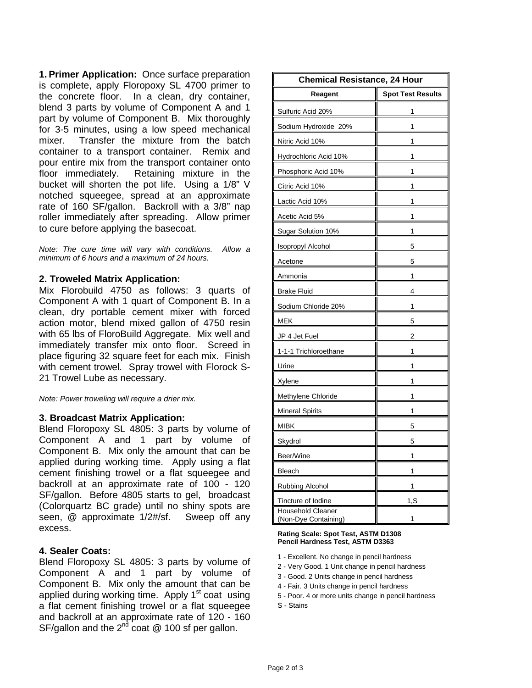**1. Primer Application:** Once surface preparation is complete, apply Floropoxy SL 4700 primer to the concrete floor. In a clean, dry container, blend 3 parts by volume of Component A and 1 part by volume of Component B. Mix thoroughly for 3-5 minutes, using a low speed mechanical mixer. Transfer the mixture from the batch container to a transport container. Remix and pour entire mix from the transport container onto<br>floor immediately. Retaining mixture in the Retaining mixture in the bucket will shorten the pot life. Using a 1/8" V notched squeegee, spread at an approximate rate of 160 SF/gallon. Backroll with a 3/8" nap roller immediately after spreading. Allow primer to cure before applying the basecoat.

Note: The cure time will vary with conditions. Allow a minimum of 6 hours and a maximum of 24 hours.

### **2. Troweled Matrix Application:**

Mix Florobuild 4750 as follows: 3 quarts of Component A with 1 quart of Component B. In a clean, dry portable cement mixer with forced action motor, blend mixed gallon of 4750 resin with 65 lbs of FloroBuild Aggregate. Mix well and immediately transfer mix onto floor. Screed in place figuring 32 square feet for each mix. Finish with cement trowel. Spray trowel with Florock S-21 Trowel Lube as necessary.

Note: Power troweling will require a drier mix.

#### **3. Broadcast Matrix Application:**

Blend Floropoxy SL 4805: 3 parts by volume of Component A and 1 part by volume of Component B. Mix only the amount that can be applied during working time. Apply using a flat cement finishing trowel or a flat squeegee and backroll at an approximate rate of 100 - 120 SF/gallon. Before 4805 starts to gel, broadcast (Colorquartz BC grade) until no shiny spots are seen, @ approximate 1/2#/sf. Sweep off any excess.

#### **4. Sealer Coats:**

Blend Floropoxy SL 4805: 3 parts by volume of Component A and 1 part by volume of Component B. Mix only the amount that can be applied during working time. Apply  $1<sup>st</sup>$  coat using a flat cement finishing trowel or a flat squeegee and backroll at an approximate rate of 120 - 160 SF/gallon and the  $2^{nd}$  coat  $@$  100 sf per gallon.

| <b>Chemical Resistance, 24 Hour</b>              |                          |  |
|--------------------------------------------------|--------------------------|--|
| Reagent                                          | <b>Spot Test Results</b> |  |
| Sulfuric Acid 20%                                | 1                        |  |
| Sodium Hydroxide 20%                             | 1                        |  |
| Nitric Acid 10%                                  | 1                        |  |
| Hydrochloric Acid 10%                            | 1                        |  |
| Phosphoric Acid 10%                              | 1                        |  |
| Citric Acid 10%                                  | 1                        |  |
| Lactic Acid 10%                                  | 1                        |  |
| Acetic Acid 5%                                   | 1                        |  |
| Sugar Solution 10%                               | 1                        |  |
| <b>Isopropyl Alcohol</b>                         | 5                        |  |
| Acetone                                          | 5                        |  |
| Ammonia                                          | 1                        |  |
| <b>Brake Fluid</b>                               | 4                        |  |
| Sodium Chloride 20%                              | 1                        |  |
| MEK                                              | 5                        |  |
| JP 4 Jet Fuel                                    | 2                        |  |
| 1-1-1 Trichloroethane                            | 1                        |  |
| Urine                                            | 1                        |  |
| <b>Xylene</b>                                    | 1                        |  |
| Methylene Chloride                               | 1                        |  |
| Mineral Spirits                                  | 1                        |  |
| MIBK                                             | 5                        |  |
| Skydrol                                          | 5                        |  |
| Beer/Wine                                        | 1                        |  |
| Bleach                                           | 1                        |  |
| Rubbing Alcohol                                  | 1                        |  |
| Tincture of Iodine                               | 1,S                      |  |
| <b>Household Cleaner</b><br>(Non-Dye Containing) | 1                        |  |

#### **Rating Scale: Spot Test, ASTM D1308 Pencil Hardness Test, ASTM D3363**

- 1 Excellent. No change in pencil hardness
- 2 Very Good. 1 Unit change in pencil hardness
- 3 Good. 2 Units change in pencil hardness
- 4 Fair. 3 Units change in pencil hardness
- 5 Poor. 4 or more units change in pencil hardness

S - Stains